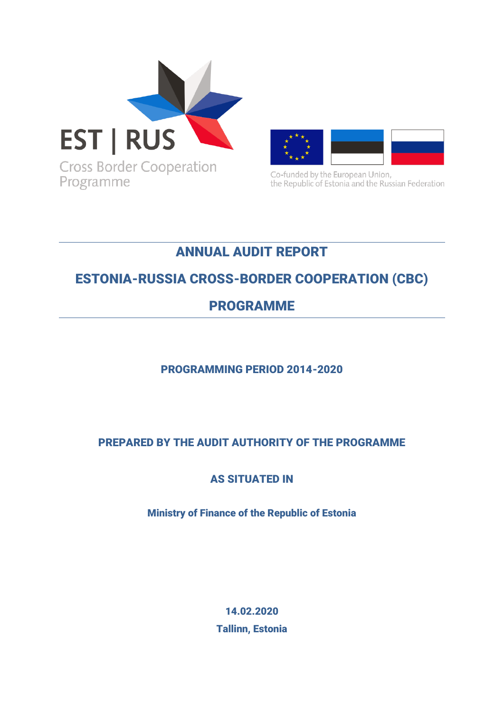



Co-funded by the European Union, the Republic of Estonia and the Russian Federation

# ANNUAL AUDIT REPORT

# ESTONIA-RUSSIA CROSS-BORDER COOPERATION (CBC)

## PROGRAMME

### PROGRAMMING PERIOD 2014-2020

### PREPARED BY THE AUDIT AUTHORITY OF THE PROGRAMME

### AS SITUATED IN

Ministry of Finance of the Republic of Estonia

14.02.2020 Tallinn, Estonia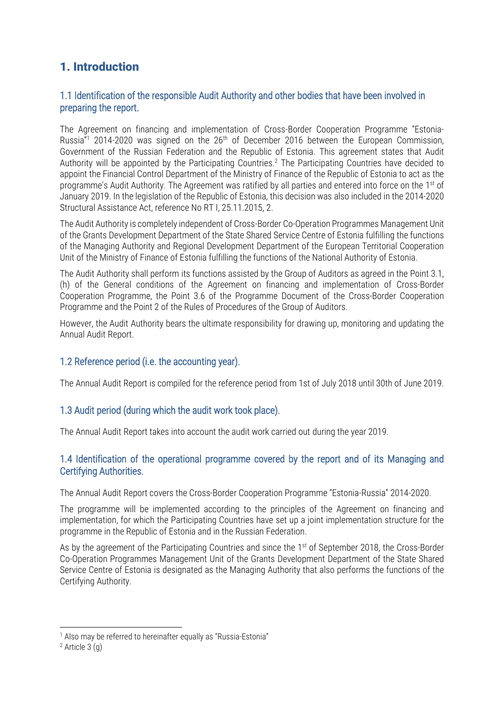### 1. Introduction

#### 1.1 Identification of the responsible Audit Authority and other bodies that have been involved in preparing the report.

The Agreement on financing and implementation of Cross-Border Cooperation Programme "Estonia-Russia $n_1$ <sup>1</sup> 2014-2020 was signed on the  $26<sup>th</sup>$  of December 2016 between the European Commission, Government of the Russian Federation and the Republic of Estonia. This agreement states that Audit Authority will be appointed by the Participating Countries. <sup>2</sup> The Participating Countries have decided to appoint the Financial Control Department of the Ministry of Finance of the Republic of Estonia to act as the programme's Audit Authority. The Agreement was ratified by all parties and entered into force on the 1<sup>st</sup> of January 2019. In the legislation of the Republic of Estonia, this decision was also included in the 2014-2020 Structural Assistance Act, reference No RT I, 25.11.2015, 2.

The Audit Authority is completely independent of Cross-Border Co-Operation Programmes Management Unit of the Grants Development Department of the State Shared Service Centre of Estonia fulfilling the functions of the Managing Authority and Regional Development Department of the European Territorial Cooperation Unit of the Ministry of Finance of Estonia fulfilling the functions of the National Authority of Estonia.

The Audit Authority shall perform its functions assisted by the Group of Auditors as agreed in the Point 3.1, (h) of the General conditions of the Agreement on financing and implementation of Cross-Border Cooperation Programme, the Point 3.6 of the Programme Document of the Cross-Border Cooperation Programme and the Point 2 of the Rules of Procedures of the Group of Auditors.

However, the Audit Authority bears the ultimate responsibility for drawing up, monitoring and updating the Annual Audit Report.

#### 1.2 Reference period (i.e. the accounting year).

The Annual Audit Report is compiled for the reference period from 1st of July 2018 until 30th of June 2019.

#### 1.3 Audit period (during which the audit work took place).

The Annual Audit Report takes into account the audit work carried out during the year 2019.

#### 1.4 Identification of the operational programme covered by the report and of its Managing and Certifying Authorities.

The Annual Audit Report covers the Cross-Border Cooperation Programme "Estonia-Russia" 2014-2020.

The programme will be implemented according to the principles of the Agreement on financing and implementation, for which the Participating Countries have set up a joint implementation structure for the programme in the Republic of Estonia and in the Russian Federation.

As by the agreement of the Participating Countries and since the  $1<sup>st</sup>$  of September 2018, the Cross-Border Co-Operation Programmes Management Unit of the Grants Development Department of the State Shared Service Centre of Estonia is designated as the Managing Authority that also performs the functions of the Certifying Authority.

<u>.</u>

<sup>&</sup>lt;sup>1</sup> Also may be referred to hereinafter equally as "Russia-Estonia"

 $2$  Article  $3$  (g)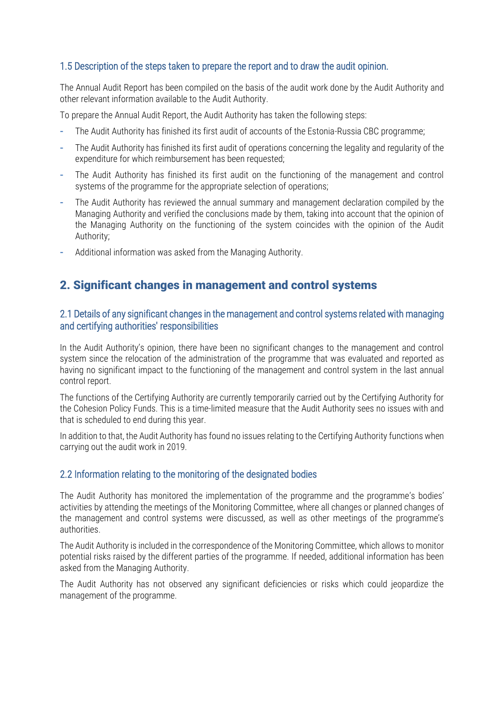#### 1.5 Description of the steps taken to prepare the report and to draw the audit opinion.

The Annual Audit Report has been compiled on the basis of the audit work done by the Audit Authority and other relevant information available to the Audit Authority.

To prepare the Annual Audit Report, the Audit Authority has taken the following steps:

- **-** The Audit Authority has finished its first audit of accounts of the Estonia-Russia CBC programme;
- **-** The Audit Authority has finished its first audit of operations concerning the legality and regularity of the expenditure for which reimbursement has been requested;
- **-** The Audit Authority has finished its first audit on the functioning of the management and control systems of the programme for the appropriate selection of operations;
- **-** The Audit Authority has reviewed the annual summary and management declaration compiled by the Managing Authority and verified the conclusions made by them, taking into account that the opinion of the Managing Authority on the functioning of the system coincides with the opinion of the Audit Authority;
- **-** Additional information was asked from the Managing Authority.

### 2. Significant changes in management and control systems

#### 2.1 Details of any significant changes in the management and control systems related with managing and certifying authorities' responsibilities

In the Audit Authority's opinion, there have been no significant changes to the management and control system since the relocation of the administration of the programme that was evaluated and reported as having no significant impact to the functioning of the management and control system in the last annual control report.

The functions of the Certifying Authority are currently temporarily carried out by the Certifying Authority for the Cohesion Policy Funds. This is a time-limited measure that the Audit Authority sees no issues with and that is scheduled to end during this year.

In addition to that, the Audit Authority has found no issues relating to the Certifying Authority functions when carrying out the audit work in 2019.

#### 2.2 Information relating to the monitoring of the designated bodies

The Audit Authority has monitored the implementation of the programme and the programme's bodies' activities by attending the meetings of the Monitoring Committee, where all changes or planned changes of the management and control systems were discussed, as well as other meetings of the programme's authorities.

The Audit Authority is included in the correspondence of the Monitoring Committee, which allows to monitor potential risks raised by the different parties of the programme. If needed, additional information has been asked from the Managing Authority.

The Audit Authority has not observed any significant deficiencies or risks which could jeopardize the management of the programme.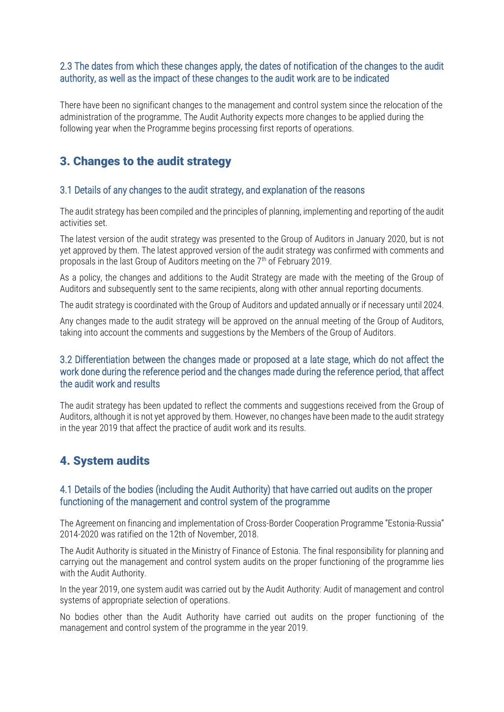#### 2.3 The dates from which these changes apply, the dates of notification of the changes to the audit authority, as well as the impact of these changes to the audit work are to be indicated

There have been no significant changes to the management and control system since the relocation of the administration of the programme. The Audit Authority expects more changes to be applied during the following year when the Programme begins processing first reports of operations.

### 3. Changes to the audit strategy

#### 3.1 Details of any changes to the audit strategy, and explanation of the reasons

The audit strategy has been compiled and the principles of planning, implementing and reporting of the audit activities set.

The latest version of the audit strategy was presented to the Group of Auditors in January 2020, but is not yet approved by them. The latest approved version of the audit strategy was confirmed with comments and proposals in the last Group of Auditors meeting on the  $7<sup>th</sup>$  of February 2019.

As a policy, the changes and additions to the Audit Strategy are made with the meeting of the Group of Auditors and subsequently sent to the same recipients, along with other annual reporting documents.

The audit strategy is coordinated with the Group of Auditors and updated annually or if necessary until 2024.

Any changes made to the audit strategy will be approved on the annual meeting of the Group of Auditors, taking into account the comments and suggestions by the Members of the Group of Auditors.

#### 3.2 Differentiation between the changes made or proposed at a late stage, which do not affect the work done during the reference period and the changes made during the reference period, that affect the audit work and results

The audit strategy has been updated to reflect the comments and suggestions received from the Group of Auditors, although it is not yet approved by them. However, no changes have been made to the audit strategy in the year 2019 that affect the practice of audit work and its results.

### 4. System audits

#### 4.1 Details of the bodies (including the Audit Authority) that have carried out audits on the proper functioning of the management and control system of the programme

The Agreement on financing and implementation of Cross-Border Cooperation Programme "Estonia-Russia" 2014-2020 was ratified on the 12th of November, 2018.

The Audit Authority is situated in the Ministry of Finance of Estonia. The final responsibility for planning and carrying out the management and control system audits on the proper functioning of the programme lies with the Audit Authority.

In the year 2019, one system audit was carried out by the Audit Authority: Audit of management and control systems of appropriate selection of operations.

No bodies other than the Audit Authority have carried out audits on the proper functioning of the management and control system of the programme in the year 2019.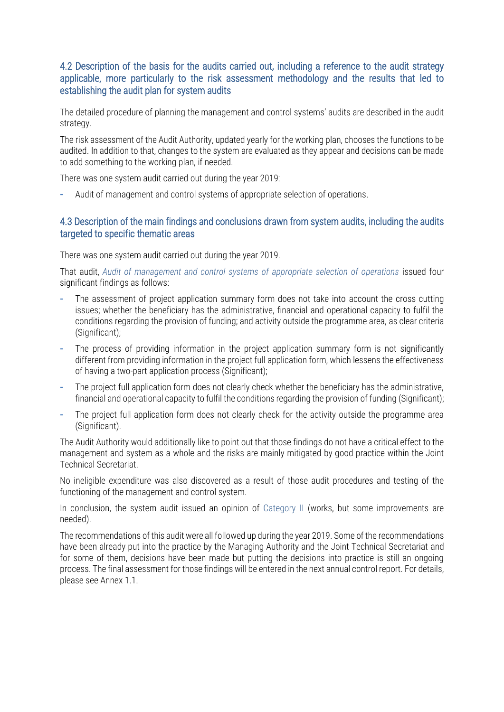#### 4.2 Description of the basis for the audits carried out, including a reference to the audit strategy applicable, more particularly to the risk assessment methodology and the results that led to establishing the audit plan for system audits

The detailed procedure of planning the management and control systems' audits are described in the audit strategy.

The risk assessment of the Audit Authority, updated yearly for the working plan, chooses the functions to be audited. In addition to that, changes to the system are evaluated as they appear and decisions can be made to add something to the working plan, if needed.

There was one system audit carried out during the year 2019:

**-** Audit of management and control systems of appropriate selection of operations.

#### 4.3 Description of the main findings and conclusions drawn from system audits, including the audits targeted to specific thematic areas

There was one system audit carried out during the year 2019.

That audit, Audit of management and control systems of appropriate selection of operations issued four significant findings as follows:

- **-** The assessment of project application summary form does not take into account the cross cutting issues; whether the beneficiary has the administrative, financial and operational capacity to fulfil the conditions regarding the provision of funding; and activity outside the programme area, as clear criteria (Significant);
- **-** The process of providing information in the project application summary form is not significantly different from providing information in the project full application form, which lessens the effectiveness of having a two-part application process (Significant);
- **-** The project full application form does not clearly check whether the beneficiary has the administrative, financial and operational capacity to fulfil the conditions regarding the provision of funding (Significant);
- **-** The project full application form does not clearly check for the activity outside the programme area (Significant).

The Audit Authority would additionally like to point out that those findings do not have a critical effect to the management and system as a whole and the risks are mainly mitigated by good practice within the Joint Technical Secretariat.

No ineligible expenditure was also discovered as a result of those audit procedures and testing of the functioning of the management and control system.

In conclusion, the system audit issued an opinion of Category II (works, but some improvements are needed).

The recommendations of this audit were all followed up during the year 2019. Some of the recommendations have been already put into the practice by the Managing Authority and the Joint Technical Secretariat and for some of them, decisions have been made but putting the decisions into practice is still an ongoing process. The final assessment for those findings will be entered in the next annual control report. For details, please see Annex 1.1.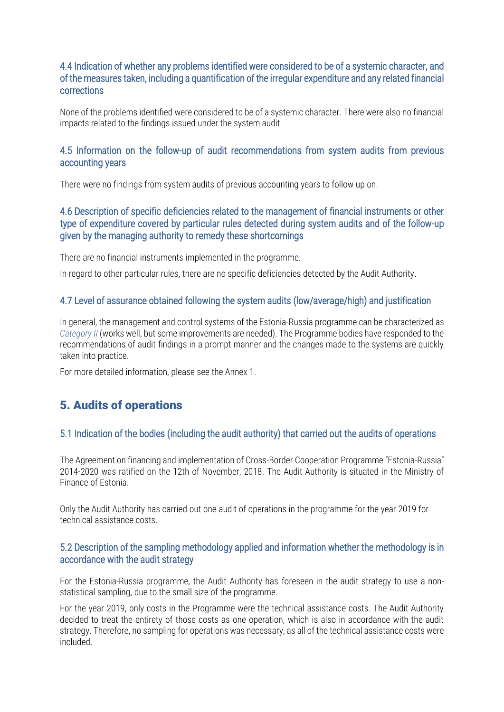#### 4.4 Indication of whether any problems identified were considered to be of a systemic character, and of the measures taken, including a quantification of the irregular expenditure and any related financial corrections

None of the problems identified were considered to be of a systemic character. There were also no financial impacts related to the findings issued under the system audit.

#### 4.5 Information on the follow-up of audit recommendations from system audits from previous accounting years

There were no findings from system audits of previous accounting years to follow up on.

#### 4.6 Description of specific deficiencies related to the management of financial instruments or other type of expenditure covered by particular rules detected during system audits and of the follow-up given by the managing authority to remedy these shortcomings

There are no financial instruments implemented in the programme.

In regard to other particular rules, there are no specific deficiencies detected by the Audit Authority.

#### 4.7 Level of assurance obtained following the system audits (low/average/high) and justification

In general, the management and control systems of the Estonia-Russia programme can be characterized as *Category II* (works well, but some improvements are needed). The Programme bodies have responded to the recommendations of audit findings in a prompt manner and the changes made to the systems are quickly taken into practice.

For more detailed information, please see the Annex 1.

### 5. Audits of operations

#### 5.1 Indication of the bodies (including the audit authority) that carried out the audits of operations

The Agreement on financing and implementation of Cross-Border Cooperation Programme "Estonia-Russia" 2014-2020 was ratified on the 12th of November, 2018. The Audit Authority is situated in the Ministry of Finance of Estonia.

Only the Audit Authority has carried out one audit of operations in the programme for the year 2019 for technical assistance costs.

#### 5.2 Description of the sampling methodology applied and information whether the methodology is in accordance with the audit strategy

For the Estonia-Russia programme, the Audit Authority has foreseen in the audit strategy to use a nonstatistical sampling, due to the small size of the programme.

For the year 2019, only costs in the Programme were the technical assistance costs. The Audit Authority decided to treat the entirety of those costs as one operation, which is also in accordance with the audit strategy. Therefore, no sampling for operations was necessary, as all of the technical assistance costs were included.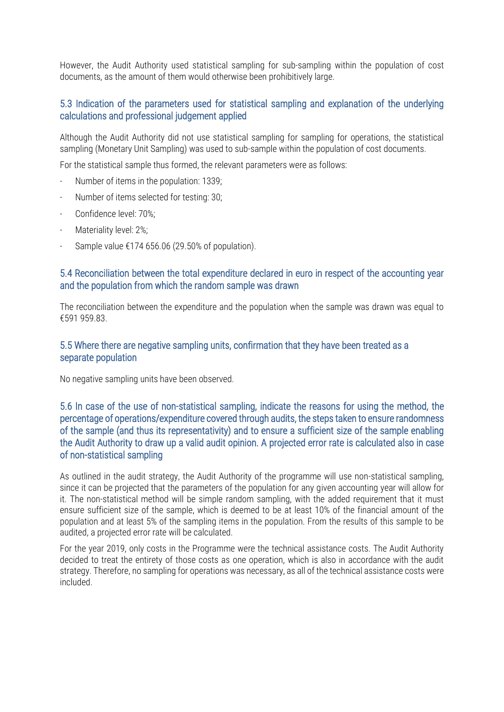However, the Audit Authority used statistical sampling for sub-sampling within the population of cost documents, as the amount of them would otherwise been prohibitively large.

#### 5.3 Indication of the parameters used for statistical sampling and explanation of the underlying calculations and professional judgement applied

Although the Audit Authority did not use statistical sampling for sampling for operations, the statistical sampling (Monetary Unit Sampling) was used to sub-sample within the population of cost documents.

For the statistical sample thus formed, the relevant parameters were as follows:

- Number of items in the population: 1339;
- Number of items selected for testing: 30;
- Confidence level: 70%;
- Materiality level: 2%;
- Sample value  $£174$  656.06 (29.50% of population).

#### 5.4 Reconciliation between the total expenditure declared in euro in respect of the accounting year and the population from which the random sample was drawn

The reconciliation between the expenditure and the population when the sample was drawn was equal to €591 959.83.

#### 5.5 Where there are negative sampling units, confirmation that they have been treated as a separate population

No negative sampling units have been observed.

5.6 In case of the use of non-statistical sampling, indicate the reasons for using the method, the percentage of operations/expenditure covered through audits, the steps taken to ensure randomness of the sample (and thus its representativity) and to ensure a sufficient size of the sample enabling the Audit Authority to draw up a valid audit opinion. A projected error rate is calculated also in case of non-statistical sampling

As outlined in the audit strategy, the Audit Authority of the programme will use non-statistical sampling, since it can be projected that the parameters of the population for any given accounting year will allow for it. The non-statistical method will be simple random sampling, with the added requirement that it must ensure sufficient size of the sample, which is deemed to be at least 10% of the financial amount of the population and at least 5% of the sampling items in the population. From the results of this sample to be audited, a projected error rate will be calculated.

For the year 2019, only costs in the Programme were the technical assistance costs. The Audit Authority decided to treat the entirety of those costs as one operation, which is also in accordance with the audit strategy. Therefore, no sampling for operations was necessary, as all of the technical assistance costs were included.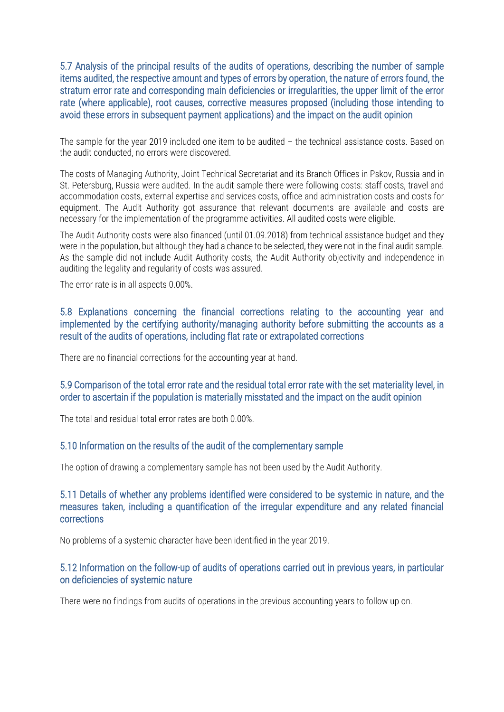5.7 Analysis of the principal results of the audits of operations, describing the number of sample items audited, the respective amount and types of errors by operation, the nature of errors found, the stratum error rate and corresponding main deficiencies or irregularities, the upper limit of the error rate (where applicable), root causes, corrective measures proposed (including those intending to avoid these errors in subsequent payment applications) and the impact on the audit opinion

The sample for the year 2019 included one item to be audited – the technical assistance costs. Based on the audit conducted, no errors were discovered.

The costs of Managing Authority, Joint Technical Secretariat and its Branch Offices in Pskov, Russia and in St. Petersburg, Russia were audited. In the audit sample there were following costs: staff costs, travel and accommodation costs, external expertise and services costs, office and administration costs and costs for equipment. The Audit Authority got assurance that relevant documents are available and costs are necessary for the implementation of the programme activities. All audited costs were eligible.

The Audit Authority costs were also financed (until 01.09.2018) from technical assistance budget and they were in the population, but although they had a chance to be selected, they were not in the final audit sample. As the sample did not include Audit Authority costs, the Audit Authority objectivity and independence in auditing the legality and regularity of costs was assured.

The error rate is in all aspects 0.00%.

5.8 Explanations concerning the financial corrections relating to the accounting year and implemented by the certifying authority/managing authority before submitting the accounts as a result of the audits of operations, including flat rate or extrapolated corrections

There are no financial corrections for the accounting year at hand.

#### 5.9 Comparison of the total error rate and the residual total error rate with the set materiality level, in order to ascertain if the population is materially misstated and the impact on the audit opinion

The total and residual total error rates are both 0.00%.

#### 5.10 Information on the results of the audit of the complementary sample

The option of drawing a complementary sample has not been used by the Audit Authority.

#### 5.11 Details of whether any problems identified were considered to be systemic in nature, and the measures taken, including a quantification of the irregular expenditure and any related financial corrections

No problems of a systemic character have been identified in the year 2019.

#### 5.12 Information on the follow-up of audits of operations carried out in previous years, in particular on deficiencies of systemic nature

There were no findings from audits of operations in the previous accounting years to follow up on.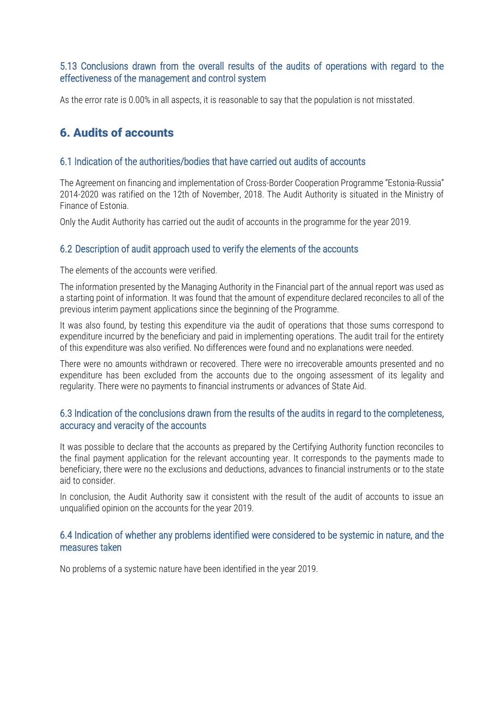#### 5.13 Conclusions drawn from the overall results of the audits of operations with regard to the effectiveness of the management and control system

As the error rate is 0.00% in all aspects, it is reasonable to say that the population is not misstated.

### 6. Audits of accounts

#### 6.1 Indication of the authorities/bodies that have carried out audits of accounts

The Agreement on financing and implementation of Cross-Border Cooperation Programme "Estonia-Russia" 2014-2020 was ratified on the 12th of November, 2018. The Audit Authority is situated in the Ministry of Finance of Estonia.

Only the Audit Authority has carried out the audit of accounts in the programme for the year 2019.

#### 6.2 Description of audit approach used to verify the elements of the accounts

The elements of the accounts were verified.

The information presented by the Managing Authority in the Financial part of the annual report was used as a starting point of information. It was found that the amount of expenditure declared reconciles to all of the previous interim payment applications since the beginning of the Programme.

It was also found, by testing this expenditure via the audit of operations that those sums correspond to expenditure incurred by the beneficiary and paid in implementing operations. The audit trail for the entirety of this expenditure was also verified. No differences were found and no explanations were needed.

There were no amounts withdrawn or recovered. There were no irrecoverable amounts presented and no expenditure has been excluded from the accounts due to the ongoing assessment of its legality and regularity. There were no payments to financial instruments or advances of State Aid.

#### 6.3 Indication of the conclusions drawn from the results of the audits in regard to the completeness, accuracy and veracity of the accounts

It was possible to declare that the accounts as prepared by the Certifying Authority function reconciles to the final payment application for the relevant accounting year. It corresponds to the payments made to beneficiary, there were no the exclusions and deductions, advances to financial instruments or to the state aid to consider.

In conclusion, the Audit Authority saw it consistent with the result of the audit of accounts to issue an unqualified opinion on the accounts for the year 2019.

#### 6.4 Indication of whether any problems identified were considered to be systemic in nature, and the measures taken

No problems of a systemic nature have been identified in the year 2019.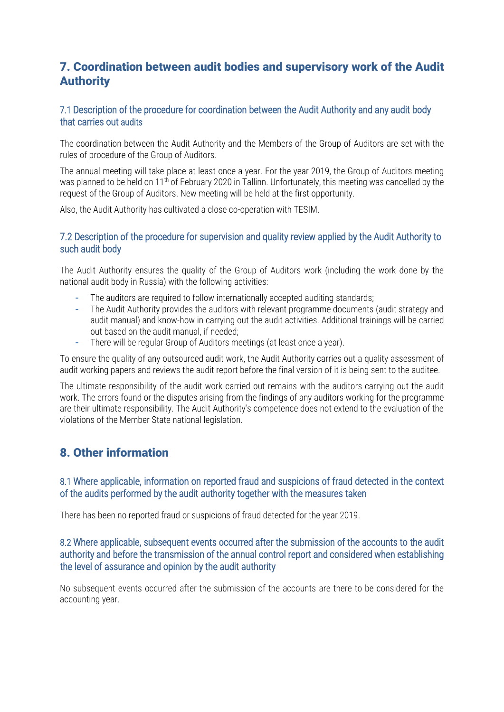### 7. Coordination between audit bodies and supervisory work of the Audit Authority

#### 7.1 Description of the procedure for coordination between the Audit Authority and any audit body that carries out audits

The coordination between the Audit Authority and the Members of the Group of Auditors are set with the rules of procedure of the Group of Auditors.

The annual meeting will take place at least once a year. For the year 2019, the Group of Auditors meeting was planned to be held on 11th of February 2020 in Tallinn. Unfortunately, this meeting was cancelled by the request of the Group of Auditors. New meeting will be held at the first opportunity.

Also, the Audit Authority has cultivated a close co-operation with TESIM.

#### 7.2 Description of the procedure for supervision and quality review applied by the Audit Authority to such audit body

The Audit Authority ensures the quality of the Group of Auditors work (including the work done by the national audit body in Russia) with the following activities:

- **-** The auditors are required to follow internationally accepted auditing standards;
- **-** The Audit Authority provides the auditors with relevant programme documents (audit strategy and audit manual) and know-how in carrying out the audit activities. Additional trainings will be carried out based on the audit manual, if needed;
- **-** There will be regular Group of Auditors meetings (at least once a year).

To ensure the quality of any outsourced audit work, the Audit Authority carries out a quality assessment of audit working papers and reviews the audit report before the final version of it is being sent to the auditee.

The ultimate responsibility of the audit work carried out remains with the auditors carrying out the audit work. The errors found or the disputes arising from the findings of any auditors working for the programme are their ultimate responsibility. The Audit Authority's competence does not extend to the evaluation of the violations of the Member State national legislation.

### 8. Other information

#### 8.1 Where applicable, information on reported fraud and suspicions of fraud detected in the context of the audits performed by the audit authority together with the measures taken

There has been no reported fraud or suspicions of fraud detected for the year 2019.

#### 8.2 Where applicable, subsequent events occurred after the submission of the accounts to the audit authority and before the transmission of the annual control report and considered when establishing the level of assurance and opinion by the audit authority

No subsequent events occurred after the submission of the accounts are there to be considered for the accounting year.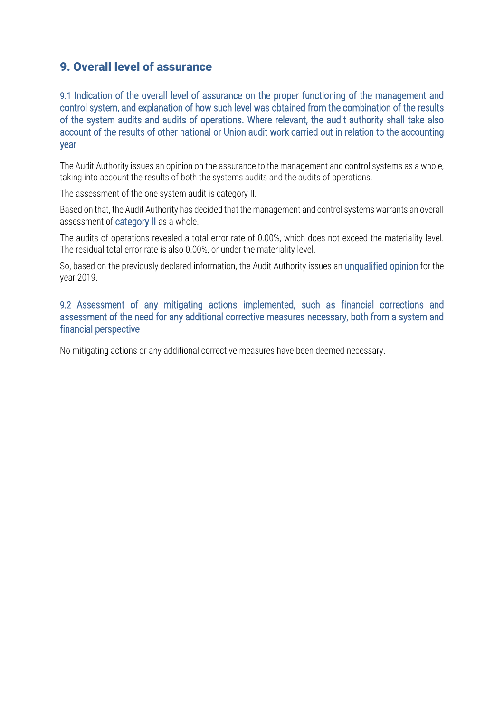### 9. Overall level of assurance

9.1 Indication of the overall level of assurance on the proper functioning of the management and control system, and explanation of how such level was obtained from the combination of the results of the system audits and audits of operations. Where relevant, the audit authority shall take also account of the results of other national or Union audit work carried out in relation to the accounting year

The Audit Authority issues an opinion on the assurance to the management and control systems as a whole, taking into account the results of both the systems audits and the audits of operations.

The assessment of the one system audit is category II.

Based on that, the Audit Authority has decided that the management and control systems warrants an overall assessment of category II as a whole.

The audits of operations revealed a total error rate of 0.00%, which does not exceed the materiality level. The residual total error rate is also 0.00%, or under the materiality level.

So, based on the previously declared information, the Audit Authority issues an unqualified opinion for the year 2019.

#### 9.2 Assessment of any mitigating actions implemented, such as financial corrections and assessment of the need for any additional corrective measures necessary, both from a system and financial perspective

No mitigating actions or any additional corrective measures have been deemed necessary.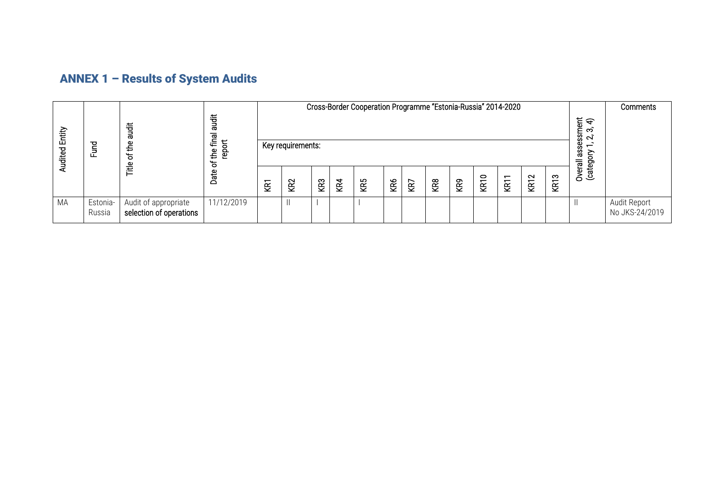# ANNEX 1 – Results of System Audits

| Entity<br>udited<br>⋖ | <b>Tung</b>        | 言<br>ᡕᢐ<br>௨<br>∓<br>৳<br>Ĕ                     | tigat<br>Tagaar<br>final<br>$\overline{5}$<br>$\frac{1}{2}$<br>ဥ္<br>ᡃᡃᡖ<br>Date |     | Cross-Border Cooperation Programme "Estonia-Russia" 2014-2020<br>ssment<br>$2, 3, 4$<br>စ္တ<br>Key requirements:<br>$\overline{\phantom{0}}$ |                 |           |     |     |           |                 |           |               |                      |               |             |                              | <b>Comments</b>                |
|-----------------------|--------------------|-------------------------------------------------|----------------------------------------------------------------------------------|-----|----------------------------------------------------------------------------------------------------------------------------------------------|-----------------|-----------|-----|-----|-----------|-----------------|-----------|---------------|----------------------|---------------|-------------|------------------------------|--------------------------------|
|                       |                    |                                                 |                                                                                  | ΚRΊ | KR2                                                                                                                                          | KR <sub>3</sub> | <b>R4</b> | KR5 | KR6 | <b>ZB</b> | KR <sub>8</sub> | <b>RP</b> | $\circ$<br>ξă | $\overline{ }$<br>ξŘ | $\sim$<br>KRT | <b>KR13</b> | ä<br>ξ<br>Overall<br>(catego |                                |
| MA                    | Estonia-<br>Russia | Audit of appropriate<br>selection of operations | 11/12/2019                                                                       |     |                                                                                                                                              |                 |           |     |     |           |                 |           |               |                      |               |             | $\parallel$                  | Audit Report<br>No JKS-24/2019 |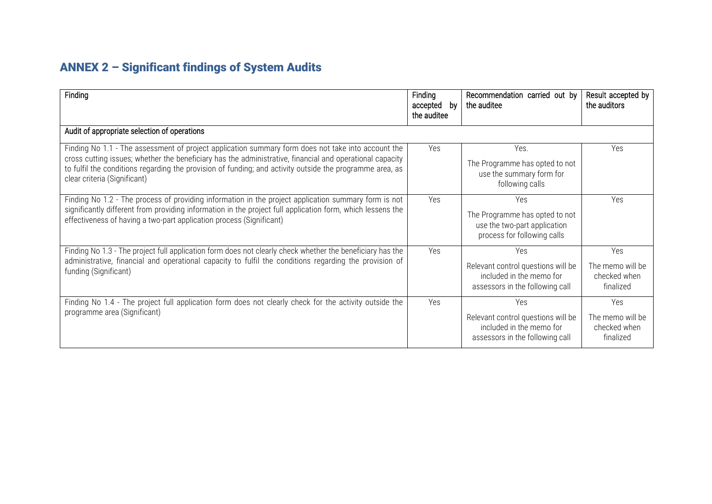# ANNEX 2 – Significant findings of System Audits

| Finding                                                                                                                                                                                                                                                                                                                                                    | Finding<br>accepted<br>by<br>the auditee | Recommendation carried out by<br>the auditee                                                             | Result accepted by<br>the auditors                   |
|------------------------------------------------------------------------------------------------------------------------------------------------------------------------------------------------------------------------------------------------------------------------------------------------------------------------------------------------------------|------------------------------------------|----------------------------------------------------------------------------------------------------------|------------------------------------------------------|
| Audit of appropriate selection of operations                                                                                                                                                                                                                                                                                                               |                                          |                                                                                                          |                                                      |
| Finding No 1.1 - The assessment of project application summary form does not take into account the<br>cross cutting issues; whether the beneficiary has the administrative, financial and operational capacity<br>to fulfil the conditions regarding the provision of funding; and activity outside the programme area, as<br>clear criteria (Significant) | Yes                                      | Yes.<br>The Programme has opted to not<br>use the summary form for<br>following calls                    | Yes                                                  |
| Finding No 1.2 - The process of providing information in the project application summary form is not<br>significantly different from providing information in the project full application form, which lessens the<br>effectiveness of having a two-part application process (Significant)                                                                 | Yes                                      | Yes<br>The Programme has opted to not<br>use the two-part application<br>process for following calls     | Yes                                                  |
| Finding No 1.3 - The project full application form does not clearly check whether the beneficiary has the<br>administrative, financial and operational capacity to fulfil the conditions regarding the provision of<br>funding (Significant)                                                                                                               | Yes                                      | Yes<br>Relevant control questions will be<br>included in the memo for<br>assessors in the following call | Yes<br>The memo will be<br>checked when<br>finalized |
| Finding No 1.4 - The project full application form does not clearly check for the activity outside the<br>programme area (Significant)                                                                                                                                                                                                                     | Yes                                      | Yes<br>Relevant control questions will be<br>included in the memo for<br>assessors in the following call | Yes<br>The memo will be<br>checked when<br>finalized |